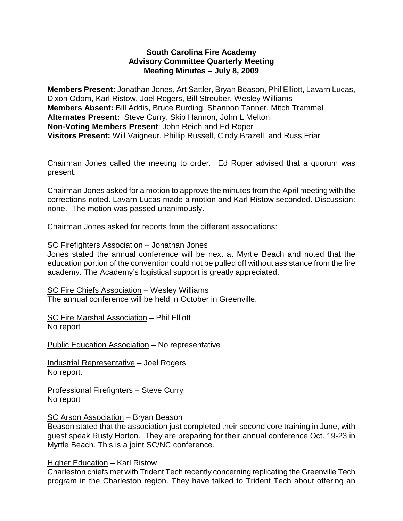### **South Carolina Fire Academy Advisory Committee Quarterly Meeting Meeting Minutes – July 8, 2009**

**Members Present:** Jonathan Jones, Art Sattler, Bryan Beason, Phil Elliott, Lavarn Lucas, Dixon Odom, Karl Ristow, Joel Rogers, Bill Streuber, Wesley Williams **Members Absent:** Bill Addis, Bruce Burding, Shannon Tanner, Mitch Trammel **Alternates Present:** Steve Curry, Skip Hannon, John L Melton, **Non-Voting Members Present**: John Reich and Ed Roper **Visitors Present:** Will Vaigneur, Phillip Russell, Cindy Brazell, and Russ Friar

Chairman Jones called the meeting to order. Ed Roper advised that a quorum was present.

Chairman Jones asked for a motion to approve the minutes from the April meeting with the corrections noted. Lavarn Lucas made a motion and Karl Ristow seconded. Discussion: none. The motion was passed unanimously.

Chairman Jones asked for reports from the different associations:

### SC Firefighters Association – Jonathan Jones

Jones stated the annual conference will be next at Myrtle Beach and noted that the education portion of the convention could not be pulled off without assistance from the fire academy. The Academy's logistical support is greatly appreciated.

SC Fire Chiefs Association – Wesley Williams The annual conference will be held in October in Greenville.

SC Fire Marshal Association – Phil Elliott No report

Public Education Association – No representative

Industrial Representative – Joel Rogers No report.

Professional Firefighters – Steve Curry No report

## SC Arson Association – Bryan Beason

Beason stated that the association just completed their second core training in June, with guest speak Rusty Horton. They are preparing for their annual conference Oct. 19-23 in Myrtle Beach. This is a joint SC/NC conference.

#### Higher Education – Karl Ristow

Charleston chiefs met with Trident Tech recently concerning replicating the Greenville Tech program in the Charleston region. They have talked to Trident Tech about offering an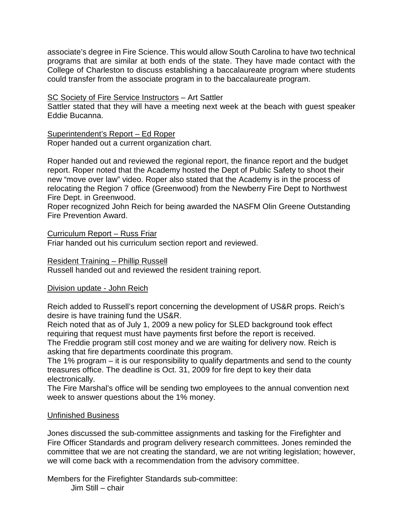associate's degree in Fire Science. This would allow South Carolina to have two technical programs that are similar at both ends of the state. They have made contact with the College of Charleston to discuss establishing a baccalaureate program where students could transfer from the associate program in to the baccalaureate program.

### SC Society of Fire Service Instructors – Art Sattler

Sattler stated that they will have a meeting next week at the beach with guest speaker Eddie Bucanna.

### Superintendent's Report – Ed Roper

Roper handed out a current organization chart.

Roper handed out and reviewed the regional report, the finance report and the budget report. Roper noted that the Academy hosted the Dept of Public Safety to shoot their new "move over law" video. Roper also stated that the Academy is in the process of relocating the Region 7 office (Greenwood) from the Newberry Fire Dept to Northwest Fire Dept. in Greenwood.

Roper recognized John Reich for being awarded the NASFM Olin Greene Outstanding Fire Prevention Award.

### Curriculum Report – Russ Friar

Friar handed out his curriculum section report and reviewed.

#### Resident Training – Phillip Russell

Russell handed out and reviewed the resident training report.

## Division update - John Reich

Reich added to Russell's report concerning the development of US&R props. Reich's desire is have training fund the US&R.

Reich noted that as of July 1, 2009 a new policy for SLED background took effect requiring that request must have payments first before the report is received.

The Freddie program still cost money and we are waiting for delivery now. Reich is asking that fire departments coordinate this program.

The 1% program – it is our responsibility to qualify departments and send to the county treasures office. The deadline is Oct. 31, 2009 for fire dept to key their data electronically.

The Fire Marshal's office will be sending two employees to the annual convention next week to answer questions about the 1% money.

## Unfinished Business

Jones discussed the sub-committee assignments and tasking for the Firefighter and Fire Officer Standards and program delivery research committees. Jones reminded the committee that we are not creating the standard, we are not writing legislation; however, we will come back with a recommendation from the advisory committee.

Members for the Firefighter Standards sub-committee: Jim Still – chair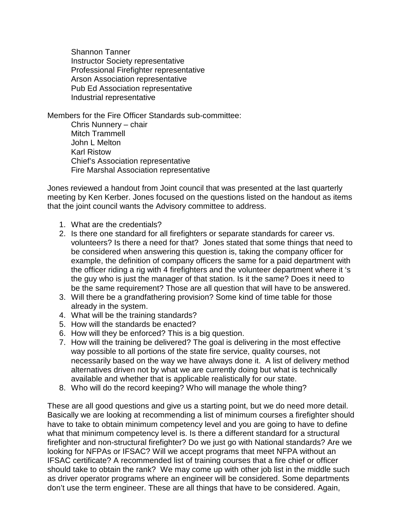Shannon Tanner Instructor Society representative Professional Firefighter representative Arson Association representative Pub Ed Association representative Industrial representative

Members for the Fire Officer Standards sub-committee: Chris Nunnery – chair Mitch Trammell John L Melton Karl Ristow Chief's Association representative Fire Marshal Association representative

Jones reviewed a handout from Joint council that was presented at the last quarterly meeting by Ken Kerber. Jones focused on the questions listed on the handout as items that the joint council wants the Advisory committee to address.

- 1. What are the credentials?
- 2. Is there one standard for all firefighters or separate standards for career vs. volunteers? Is there a need for that? Jones stated that some things that need to be considered when answering this question is, taking the company officer for example, the definition of company officers the same for a paid department with the officer riding a rig with 4 firefighters and the volunteer department where it 's the guy who is just the manager of that station. Is it the same? Does it need to be the same requirement? Those are all question that will have to be answered.
- 3. Will there be a grandfathering provision? Some kind of time table for those already in the system.
- 4. What will be the training standards?
- 5. How will the standards be enacted?
- 6. How will they be enforced? This is a big question.
- 7. How will the training be delivered? The goal is delivering in the most effective way possible to all portions of the state fire service, quality courses, not necessarily based on the way we have always done it. A list of delivery method alternatives driven not by what we are currently doing but what is technically available and whether that is applicable realistically for our state.
- 8. Who will do the record keeping? Who will manage the whole thing?

These are all good questions and give us a starting point, but we do need more detail. Basically we are looking at recommending a list of minimum courses a firefighter should have to take to obtain minimum competency level and you are going to have to define what that minimum competency level is. Is there a different standard for a structural firefighter and non-structural firefighter? Do we just go with National standards? Are we looking for NFPAs or IFSAC? Will we accept programs that meet NFPA without an IFSAC certificate? A recommended list of training courses that a fire chief or officer should take to obtain the rank? We may come up with other job list in the middle such as driver operator programs where an engineer will be considered. Some departments don't use the term engineer. These are all things that have to be considered. Again,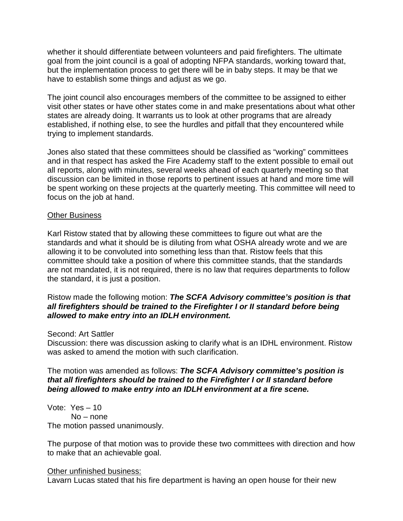whether it should differentiate between volunteers and paid firefighters. The ultimate goal from the joint council is a goal of adopting NFPA standards, working toward that, but the implementation process to get there will be in baby steps. It may be that we have to establish some things and adjust as we go.

The joint council also encourages members of the committee to be assigned to either visit other states or have other states come in and make presentations about what other states are already doing. It warrants us to look at other programs that are already established, if nothing else, to see the hurdles and pitfall that they encountered while trying to implement standards.

Jones also stated that these committees should be classified as "working" committees and in that respect has asked the Fire Academy staff to the extent possible to email out all reports, along with minutes, several weeks ahead of each quarterly meeting so that discussion can be limited in those reports to pertinent issues at hand and more time will be spent working on these projects at the quarterly meeting. This committee will need to focus on the job at hand.

### Other Business

Karl Ristow stated that by allowing these committees to figure out what are the standards and what it should be is diluting from what OSHA already wrote and we are allowing it to be convoluted into something less than that. Ristow feels that this committee should take a position of where this committee stands, that the standards are not mandated, it is not required, there is no law that requires departments to follow the standard, it is just a position.

### Ristow made the following motion: *The SCFA Advisory committee's position is that all firefighters should be trained to the Firefighter I or II standard before being allowed to make entry into an IDLH environment.*

#### Second: Art Sattler

Discussion: there was discussion asking to clarify what is an IDHL environment. Ristow was asked to amend the motion with such clarification.

## The motion was amended as follows: *The SCFA Advisory committee's position is that all firefighters should be trained to the Firefighter I or II standard before being allowed to make entry into an IDLH environment at a fire scene.*

Vote: Yes – 10 No – none The motion passed unanimously.

The purpose of that motion was to provide these two committees with direction and how to make that an achievable goal.

#### Other unfinished business:

Lavarn Lucas stated that his fire department is having an open house for their new